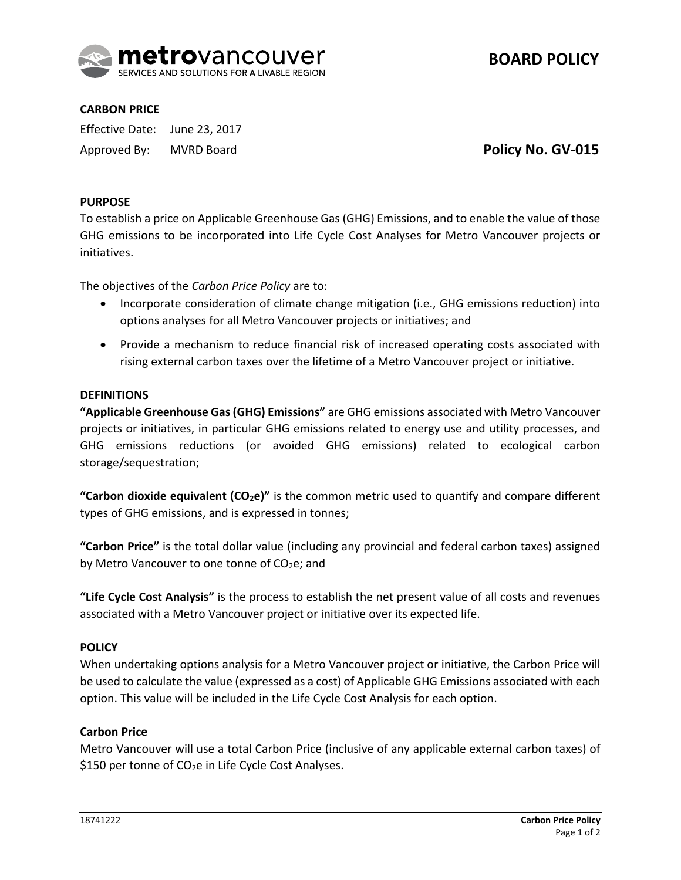

## **CARBON PRICE**

Effective Date: June 23, 2017 Approved By: MVRD Board

**Policy No. GV-015**

## **PURPOSE**

To establish a price on Applicable Greenhouse Gas (GHG) Emissions, and to enable the value of those GHG emissions to be incorporated into Life Cycle Cost Analyses for Metro Vancouver projects or initiatives.

The objectives of the *Carbon Price Policy* are to:

- Incorporate consideration of climate change mitigation (i.e., GHG emissions reduction) into options analyses for all Metro Vancouver projects or initiatives; and
- Provide a mechanism to reduce financial risk of increased operating costs associated with rising external carbon taxes over the lifetime of a Metro Vancouver project or initiative.

### **DEFINITIONS**

**"Applicable Greenhouse Gas (GHG) Emissions"** are GHG emissions associated with Metro Vancouver projects or initiatives, in particular GHG emissions related to energy use and utility processes, and GHG emissions reductions (or avoided GHG emissions) related to ecological carbon storage/sequestration;

**"Carbon dioxide equivalent (CO2e)"** is the common metric used to quantify and compare different types of GHG emissions, and is expressed in tonnes;

**"Carbon Price"** is the total dollar value (including any provincial and federal carbon taxes) assigned by Metro Vancouver to one tonne of CO<sub>2</sub>e; and

**"Life Cycle Cost Analysis"** is the process to establish the net present value of all costs and revenues associated with a Metro Vancouver project or initiative over its expected life.

### **POLICY**

When undertaking options analysis for a Metro Vancouver project or initiative, the Carbon Price will be used to calculate the value (expressed as a cost) of Applicable GHG Emissions associated with each option. This value will be included in the Life Cycle Cost Analysis for each option.

### **Carbon Price**

Metro Vancouver will use a total Carbon Price (inclusive of any applicable external carbon taxes) of \$150 per tonne of  $CO<sub>2</sub>e$  in Life Cycle Cost Analyses.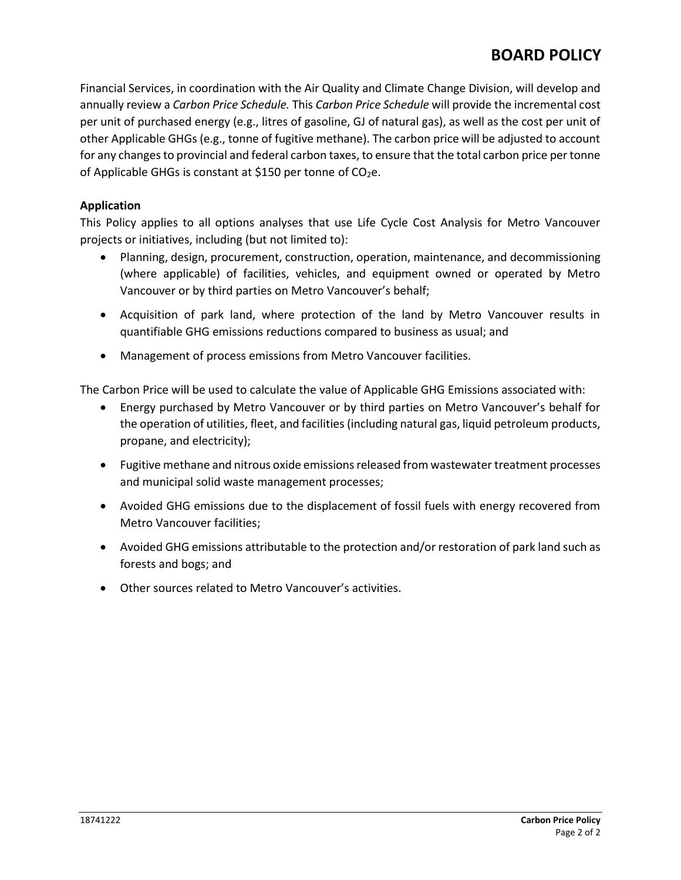# **BOARD POLICY**

Financial Services, in coordination with the Air Quality and Climate Change Division, will develop and annually review a *Carbon Price Schedule.* This *Carbon Price Schedule* will provide the incremental cost per unit of purchased energy (e.g., litres of gasoline, GJ of natural gas), as well as the cost per unit of other Applicable GHGs (e.g., tonne of fugitive methane). The carbon price will be adjusted to account for any changes to provincial and federal carbon taxes, to ensure that the total carbon price per tonne of Applicable GHGs is constant at \$150 per tonne of  $CO<sub>2</sub>e$ .

# **Application**

This Policy applies to all options analyses that use Life Cycle Cost Analysis for Metro Vancouver projects or initiatives, including (but not limited to):

- Planning, design, procurement, construction, operation, maintenance, and decommissioning (where applicable) of facilities, vehicles, and equipment owned or operated by Metro Vancouver or by third parties on Metro Vancouver's behalf;
- Acquisition of park land, where protection of the land by Metro Vancouver results in quantifiable GHG emissions reductions compared to business as usual; and
- Management of process emissions from Metro Vancouver facilities.

The Carbon Price will be used to calculate the value of Applicable GHG Emissions associated with:

- Energy purchased by Metro Vancouver or by third parties on Metro Vancouver's behalf for the operation of utilities, fleet, and facilities (including natural gas, liquid petroleum products, propane, and electricity);
- Fugitive methane and nitrous oxide emissions released from wastewater treatment processes and municipal solid waste management processes;
- Avoided GHG emissions due to the displacement of fossil fuels with energy recovered from Metro Vancouver facilities;
- Avoided GHG emissions attributable to the protection and/or restoration of park land such as forests and bogs; and
- Other sources related to Metro Vancouver's activities.